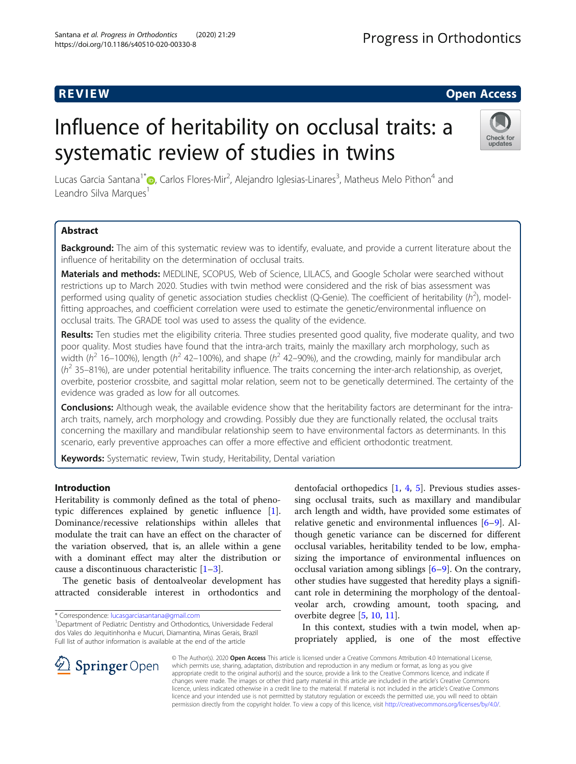# R EVI EW Open Access

# Influence of heritability on occlusal traits: a systematic review of studies in twins



Lucas Garcia Santana<sup>1\*</sup>�, Carlos Flores-Mir<sup>2</sup>, Alejandro Iglesias-Linares<sup>3</sup>, Matheus Melo Pithon<sup>4</sup> and Leandro Silva Marques<sup>1</sup>

# Abstract

Background: The aim of this systematic review was to identify, evaluate, and provide a current literature about the influence of heritability on the determination of occlusal traits.

Materials and methods: MEDLINE, SCOPUS, Web of Science, LILACS, and Google Scholar were searched without restrictions up to March 2020. Studies with twin method were considered and the risk of bias assessment was performed using quality of genetic association studies checklist (Q-Genie). The coefficient of heritability ( $h^2$ ), modelfitting approaches, and coefficient correlation were used to estimate the genetic/environmental influence on occlusal traits. The GRADE tool was used to assess the quality of the evidence.

Results: Ten studies met the eligibility criteria. Three studies presented good quality, five moderate quality, and two poor quality. Most studies have found that the intra-arch traits, mainly the maxillary arch morphology, such as width ( $h^2$  16–100%), length ( $h^2$  42–100%), and shape ( $h^2$  42–90%), and the crowding, mainly for mandibular arch  $(h^2$  35–81%), are under potential heritability influence. The traits concerning the inter-arch relationship, as overjet, overbite, posterior crossbite, and sagittal molar relation, seem not to be genetically determined. The certainty of the evidence was graded as low for all outcomes.

Conclusions: Although weak, the available evidence show that the heritability factors are determinant for the intraarch traits, namely, arch morphology and crowding. Possibly due they are functionally related, the occlusal traits concerning the maxillary and mandibular relationship seem to have environmental factors as determinants. In this scenario, early preventive approaches can offer a more effective and efficient orthodontic treatment.

Keywords: Systematic review, Twin study, Heritability, Dental variation

# Introduction

Heritability is commonly defined as the total of phenotypic differences explained by genetic influence [\[1](#page-9-0)]. Dominance/recessive relationships within alleles that modulate the trait can have an effect on the character of the variation observed, that is, an allele within a gene with a dominant effect may alter the distribution or cause a discontinuous characteristic [[1](#page-9-0)–[3\]](#page-9-0).

The genetic basis of dentoalveolar development has attracted considerable interest in orthodontics and

\* Correspondence: [lucasgarciasantana@gmail.com](mailto:lucasgarciasantana@gmail.com) <sup>1</sup>

dentofacial orthopedics [\[1](#page-9-0), [4,](#page-9-0) [5\]](#page-9-0). Previous studies assessing occlusal traits, such as maxillary and mandibular arch length and width, have provided some estimates of relative genetic and environmental influences [[6](#page-10-0)–[9](#page-10-0)]. Although genetic variance can be discerned for different occlusal variables, heritability tended to be low, emphasizing the importance of environmental influences on occlusal variation among siblings [\[6](#page-10-0)–[9](#page-10-0)]. On the contrary, other studies have suggested that heredity plays a significant role in determining the morphology of the dentoalveolar arch, crowding amount, tooth spacing, and overbite degree [\[5](#page-9-0), [10](#page-10-0), [11](#page-10-0)].

In this context, studies with a twin model, when appropriately applied, is one of the most effective



© The Author(s). 2020 Open Access This article is licensed under a Creative Commons Attribution 4.0 International License, which permits use, sharing, adaptation, distribution and reproduction in any medium or format, as long as you give appropriate credit to the original author(s) and the source, provide a link to the Creative Commons licence, and indicate if changes were made. The images or other third party material in this article are included in the article's Creative Commons licence, unless indicated otherwise in a credit line to the material. If material is not included in the article's Creative Commons licence and your intended use is not permitted by statutory regulation or exceeds the permitted use, you will need to obtain permission directly from the copyright holder. To view a copy of this licence, visit <http://creativecommons.org/licenses/by/4.0/>.

<sup>&</sup>lt;sup>1</sup> Department of Pediatric Dentistry and Orthodontics, Universidade Federal dos Vales do Jequitinhonha e Mucuri, Diamantina, Minas Gerais, Brazil Full list of author information is available at the end of the article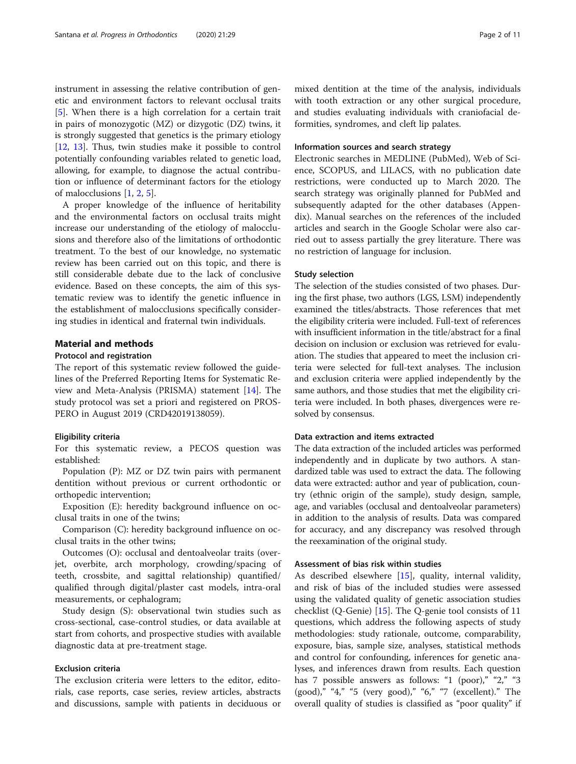instrument in assessing the relative contribution of genetic and environment factors to relevant occlusal traits [[5\]](#page-9-0). When there is a high correlation for a certain trait in pairs of monozygotic (MZ) or dizygotic (DZ) twins, it is strongly suggested that genetics is the primary etiology [[12,](#page-10-0) [13\]](#page-10-0). Thus, twin studies make it possible to control potentially confounding variables related to genetic load, allowing, for example, to diagnose the actual contribution or influence of determinant factors for the etiology of malocclusions [\[1](#page-9-0), [2](#page-9-0), [5](#page-9-0)].

A proper knowledge of the influence of heritability and the environmental factors on occlusal traits might increase our understanding of the etiology of malocclusions and therefore also of the limitations of orthodontic treatment. To the best of our knowledge, no systematic review has been carried out on this topic, and there is still considerable debate due to the lack of conclusive evidence. Based on these concepts, the aim of this systematic review was to identify the genetic influence in the establishment of malocclusions specifically considering studies in identical and fraternal twin individuals.

#### Material and methods

#### Protocol and registration

The report of this systematic review followed the guidelines of the Preferred Reporting Items for Systematic Review and Meta-Analysis (PRISMA) statement [[14\]](#page-10-0). The study protocol was set a priori and registered on PROS-PERO in August 2019 (CRD42019138059).

#### Eligibility criteria

For this systematic review, a PECOS question was established:

Population (P): MZ or DZ twin pairs with permanent dentition without previous or current orthodontic or orthopedic intervention;

Exposition (E): heredity background influence on occlusal traits in one of the twins;

Comparison (C): heredity background influence on occlusal traits in the other twins;

Outcomes (O): occlusal and dentoalveolar traits (overjet, overbite, arch morphology, crowding/spacing of teeth, crossbite, and sagittal relationship) quantified/ qualified through digital/plaster cast models, intra-oral measurements, or cephalogram;

Study design (S): observational twin studies such as cross-sectional, case-control studies, or data available at start from cohorts, and prospective studies with available diagnostic data at pre-treatment stage.

#### Exclusion criteria

The exclusion criteria were letters to the editor, editorials, case reports, case series, review articles, abstracts and discussions, sample with patients in deciduous or

mixed dentition at the time of the analysis, individuals with tooth extraction or any other surgical procedure, and studies evaluating individuals with craniofacial deformities, syndromes, and cleft lip palates.

#### Information sources and search strategy

Electronic searches in MEDLINE (PubMed), Web of Science, SCOPUS, and LILACS, with no publication date restrictions, were conducted up to March 2020. The search strategy was originally planned for PubMed and subsequently adapted for the other databases (Appendix). Manual searches on the references of the included articles and search in the Google Scholar were also carried out to assess partially the grey literature. There was no restriction of language for inclusion.

#### Study selection

The selection of the studies consisted of two phases. During the first phase, two authors (LGS, LSM) independently examined the titles/abstracts. Those references that met the eligibility criteria were included. Full-text of references with insufficient information in the title/abstract for a final decision on inclusion or exclusion was retrieved for evaluation. The studies that appeared to meet the inclusion criteria were selected for full-text analyses. The inclusion and exclusion criteria were applied independently by the same authors, and those studies that met the eligibility criteria were included. In both phases, divergences were resolved by consensus.

#### Data extraction and items extracted

The data extraction of the included articles was performed independently and in duplicate by two authors. A standardized table was used to extract the data. The following data were extracted: author and year of publication, country (ethnic origin of the sample), study design, sample, age, and variables (occlusal and dentoalveolar parameters) in addition to the analysis of results. Data was compared for accuracy, and any discrepancy was resolved through the reexamination of the original study.

#### Assessment of bias risk within studies

As described elsewhere [[15\]](#page-10-0), quality, internal validity, and risk of bias of the included studies were assessed using the validated quality of genetic association studies checklist (Q-Genie) [[15\]](#page-10-0). The Q-genie tool consists of 11 questions, which address the following aspects of study methodologies: study rationale, outcome, comparability, exposure, bias, sample size, analyses, statistical methods and control for confounding, inferences for genetic analyses, and inferences drawn from results. Each question has 7 possible answers as follows: "1 (poor)," "2," "3 (good)," "4," "5 (very good)," "6," "7 (excellent)." The overall quality of studies is classified as "poor quality" if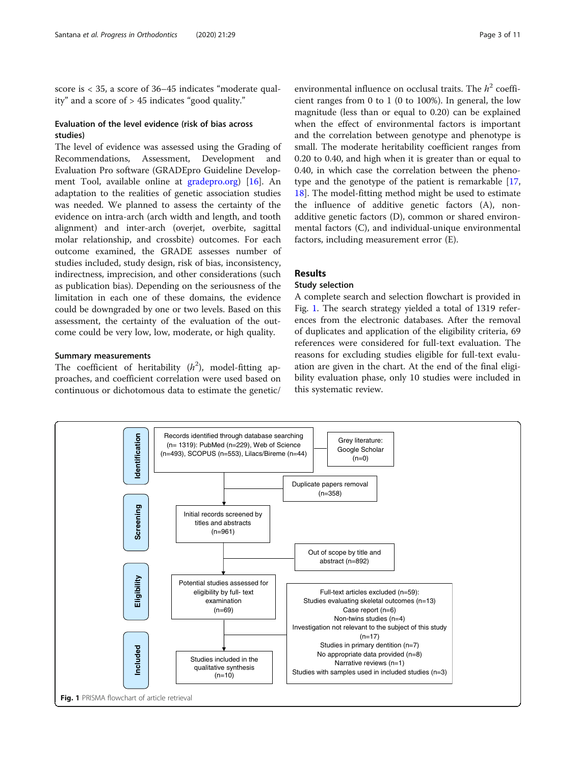score is < 35, a score of 36–45 indicates "moderate quality" and a score of > 45 indicates "good quality."

#### Evaluation of the level evidence (risk of bias across studies)

The level of evidence was assessed using the Grading of Recommendations, Assessment, Development and Evaluation Pro software (GRADEpro Guideline Development Tool, available online at [gradepro.org\)](http://gradepro.org) [[16\]](#page-10-0). An adaptation to the realities of genetic association studies was needed. We planned to assess the certainty of the evidence on intra-arch (arch width and length, and tooth alignment) and inter-arch (overjet, overbite, sagittal molar relationship, and crossbite) outcomes. For each outcome examined, the GRADE assesses number of studies included, study design, risk of bias, inconsistency, indirectness, imprecision, and other considerations (such as publication bias). Depending on the seriousness of the limitation in each one of these domains, the evidence could be downgraded by one or two levels. Based on this assessment, the certainty of the evaluation of the outcome could be very low, low, moderate, or high quality.

#### Summary measurements

The coefficient of heritability  $(h^2)$ , model-fitting approaches, and coefficient correlation were used based on continuous or dichotomous data to estimate the genetic/

environmental influence on occlusal traits. The  $h^2$  coefficient ranges from 0 to 1 (0 to 100%). In general, the low magnitude (less than or equal to 0.20) can be explained when the effect of environmental factors is important and the correlation between genotype and phenotype is small. The moderate heritability coefficient ranges from 0.20 to 0.40, and high when it is greater than or equal to 0.40, in which case the correlation between the phenotype and the genotype of the patient is remarkable [[17](#page-10-0), [18\]](#page-10-0). The model-fitting method might be used to estimate the influence of additive genetic factors (A), nonadditive genetic factors (D), common or shared environmental factors (C), and individual-unique environmental factors, including measurement error (E).

# Results

### Study selection

A complete search and selection flowchart is provided in Fig. 1. The search strategy yielded a total of 1319 references from the electronic databases. After the removal of duplicates and application of the eligibility criteria, 69 references were considered for full-text evaluation. The reasons for excluding studies eligible for full-text evaluation are given in the chart. At the end of the final eligibility evaluation phase, only 10 studies were included in this systematic review.

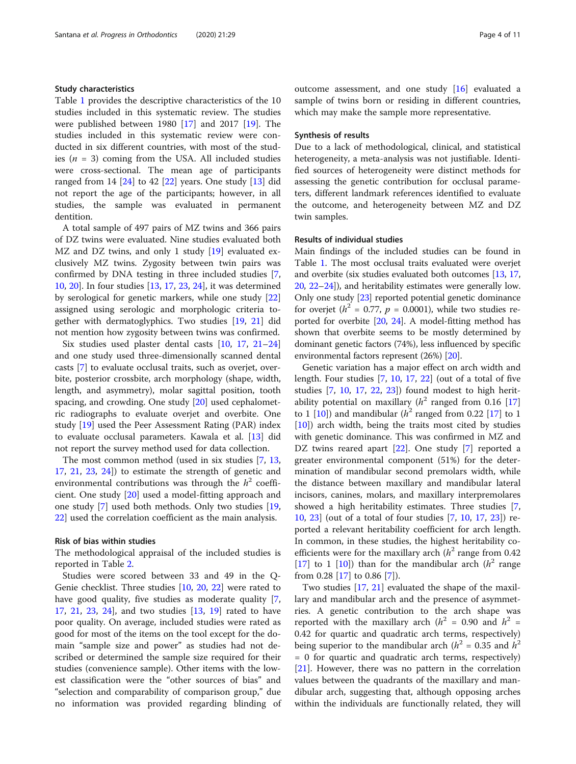#### Study characteristics

Table [1](#page-4-0) provides the descriptive characteristics of the 10 studies included in this systematic review. The studies were published between [19](#page-10-0)80  $[17]$  $[17]$  and 2017  $[19]$ . The studies included in this systematic review were conducted in six different countries, with most of the studies ( $n = 3$ ) coming from the USA. All included studies were cross-sectional. The mean age of participants ranged from 14  $[24]$  $[24]$  to 42  $[22]$  $[22]$  years. One study  $[13]$  $[13]$  did not report the age of the participants; however, in all studies, the sample was evaluated in permanent dentition.

A total sample of 497 pairs of MZ twins and 366 pairs of DZ twins were evaluated. Nine studies evaluated both MZ and DZ twins, and only 1 study [\[19](#page-10-0)] evaluated exclusively MZ twins. Zygosity between twin pairs was confirmed by DNA testing in three included studies [\[7](#page-10-0), [10,](#page-10-0) [20](#page-10-0)]. In four studies [\[13,](#page-10-0) [17,](#page-10-0) [23,](#page-10-0) [24](#page-10-0)], it was determined by serological for genetic markers, while one study [[22](#page-10-0)] assigned using serologic and morphologic criteria together with dermatoglyphics. Two studies [\[19,](#page-10-0) [21\]](#page-10-0) did not mention how zygosity between twins was confirmed.

Six studies used plaster dental casts [\[10,](#page-10-0) [17,](#page-10-0) [21](#page-10-0)–[24](#page-10-0)] and one study used three-dimensionally scanned dental casts [[7](#page-10-0)] to evaluate occlusal traits, such as overjet, overbite, posterior crossbite, arch morphology (shape, width, length, and asymmetry), molar sagittal position, tooth spacing, and crowding. One study [\[20\]](#page-10-0) used cephalometric radiographs to evaluate overjet and overbite. One study [[19\]](#page-10-0) used the Peer Assessment Rating (PAR) index to evaluate occlusal parameters. Kawala et al. [[13\]](#page-10-0) did not report the survey method used for data collection.

The most common method (used in six studies [\[7](#page-10-0), [13](#page-10-0), [17,](#page-10-0) [21,](#page-10-0) [23,](#page-10-0) [24\]](#page-10-0)) to estimate the strength of genetic and environmental contributions was through the  $h^2$  coefficient. One study [\[20](#page-10-0)] used a model-fitting approach and one study [[7\]](#page-10-0) used both methods. Only two studies [[19](#page-10-0), [22\]](#page-10-0) used the correlation coefficient as the main analysis.

#### Risk of bias within studies

The methodological appraisal of the included studies is reported in Table [2](#page-6-0).

Studies were scored between 33 and 49 in the Q-Genie checklist. Three studies [[10,](#page-10-0) [20](#page-10-0), [22\]](#page-10-0) were rated to have good quality, five studies as moderate quality [\[7](#page-10-0), [17,](#page-10-0) [21,](#page-10-0) [23](#page-10-0), [24\]](#page-10-0), and two studies [\[13,](#page-10-0) [19](#page-10-0)] rated to have poor quality. On average, included studies were rated as good for most of the items on the tool except for the domain "sample size and power" as studies had not described or determined the sample size required for their studies (convenience sample). Other items with the lowest classification were the "other sources of bias" and "selection and comparability of comparison group," due no information was provided regarding blinding of outcome assessment, and one study [\[16](#page-10-0)] evaluated a sample of twins born or residing in different countries, which may make the sample more representative.

#### Synthesis of results

Due to a lack of methodological, clinical, and statistical heterogeneity, a meta-analysis was not justifiable. Identified sources of heterogeneity were distinct methods for assessing the genetic contribution for occlusal parameters, different landmark references identified to evaluate the outcome, and heterogeneity between MZ and DZ twin samples.

#### Results of individual studies

Main findings of the included studies can be found in Table [1](#page-4-0). The most occlusal traits evaluated were overjet and overbite (six studies evaluated both outcomes [\[13,](#page-10-0) [17](#page-10-0), [20](#page-10-0), [22](#page-10-0)–[24\]](#page-10-0)), and heritability estimates were generally low. Only one study [\[23\]](#page-10-0) reported potential genetic dominance for overjet ( $h^2 = 0.77$ ,  $p = 0.0001$ ), while two studies reported for overbite [\[20,](#page-10-0) [24\]](#page-10-0). A model-fitting method has shown that overbite seems to be mostly determined by dominant genetic factors (74%), less influenced by specific environmental factors represent (26%) [\[20\]](#page-10-0).

Genetic variation has a major effect on arch width and length. Four studies [[7](#page-10-0), [10,](#page-10-0) [17](#page-10-0), [22\]](#page-10-0) (out of a total of five studies [\[7](#page-10-0), [10](#page-10-0), [17](#page-10-0), [22](#page-10-0), [23](#page-10-0)]) found modest to high heritability potential on maxillary ( $h^2$  ranged from 0.16 [[17](#page-10-0)] to 1 [\[10\]](#page-10-0)) and mandibular ( $h^2$  ranged from 0.22 [\[17](#page-10-0)] to 1 [[10\]](#page-10-0)) arch width, being the traits most cited by studies with genetic dominance. This was confirmed in MZ and DZ twins reared apart [\[22\]](#page-10-0). One study [\[7](#page-10-0)] reported a greater environmental component (51%) for the determination of mandibular second premolars width, while the distance between maxillary and mandibular lateral incisors, canines, molars, and maxillary interpremolares showed a high heritability estimates. Three studies [\[7](#page-10-0), [10,](#page-10-0) [23](#page-10-0)] (out of a total of four studies [[7](#page-10-0), [10,](#page-10-0) [17,](#page-10-0) [23](#page-10-0)]) reported a relevant heritability coefficient for arch length. In common, in these studies, the highest heritability coefficients were for the maxillary arch  $(h^2)$  range from 0.42 [[17\]](#page-10-0) to 1 [\[10\]](#page-10-0)) than for the mandibular arch  $(h^2)$  range from 0.28 [\[17](#page-10-0)] to 0.86 [[7\]](#page-10-0)).

Two studies [\[17](#page-10-0), [21](#page-10-0)] evaluated the shape of the maxillary and mandibular arch and the presence of asymmetries. A genetic contribution to the arch shape was reported with the maxillary arch ( $h^2$  = 0.90 and  $h^2$  = 0.42 for quartic and quadratic arch terms, respectively) being superior to the mandibular arch ( $h^2$  = 0.35 and  $h^2$ ) = 0 for quartic and quadratic arch terms, respectively) [[21\]](#page-10-0). However, there was no pattern in the correlation values between the quadrants of the maxillary and mandibular arch, suggesting that, although opposing arches within the individuals are functionally related, they will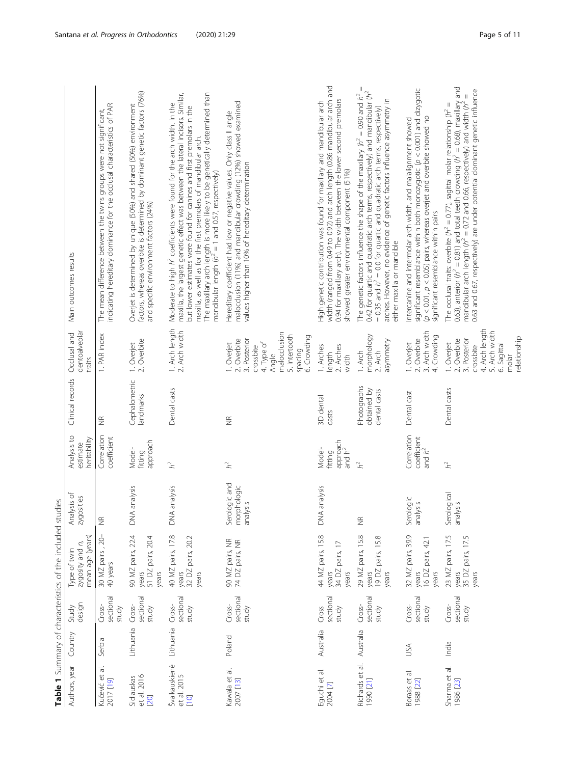<span id="page-4-0"></span>

|                                        |           |                              | Table 1 Summary of characteristics of the included studies |                                          |                                            |                                            |                                                                                                                                          |                                                                                                                                                                                                                                                                                                                                                                                                                                               |
|----------------------------------------|-----------|------------------------------|------------------------------------------------------------|------------------------------------------|--------------------------------------------|--------------------------------------------|------------------------------------------------------------------------------------------------------------------------------------------|-----------------------------------------------------------------------------------------------------------------------------------------------------------------------------------------------------------------------------------------------------------------------------------------------------------------------------------------------------------------------------------------------------------------------------------------------|
| Authors, year                          | Country   | design<br>Study              | mean age (years)<br>zygosity and n,<br>Type of twin        | Analysis of<br>zygosities                | Analysis to<br>heritability<br>estimate    | Clinical records                           | dentoalveolar<br>Occlusal and<br>traits                                                                                                  | Main outcomes results                                                                                                                                                                                                                                                                                                                                                                                                                         |
| Kučević et al.<br>2017 [19]            | Serbia    | sectional<br>Cross-<br>study | 30 MZ pairs, 20-<br>40 years                               | $\widetilde{\Xi}$                        | Correlation<br>coefficient                 | $\widetilde{\Xi}$                          | 1. PAR index                                                                                                                             | The mean difference between the twins groups were not significant,<br>indicating hereditary dominance for the occlusal characteristics of PAR                                                                                                                                                                                                                                                                                                 |
| Sidlauskas<br>et al. 2016<br>20        | Lithuania | sectional<br>Cross-<br>study | 90 MZ pairs, 22.4<br>51 DZ pairs, 20.4<br>years<br>years   | analysis<br>DNA.                         | approach<br>Model-<br>fitting              | Cephalometric<br>landmarks                 | 1. Overjet<br>2. Overbite                                                                                                                | factors, whereas overbite is determined by dominant genetic factors (76%)<br>Overjet is determined by unique (50%) and shared (50%) environment<br>and specific environment factors (24%)                                                                                                                                                                                                                                                     |
| Švalkauskienė<br>et al. 2015<br>$[10]$ | Lithuania | sectional<br>Cross-<br>study | 40 MZ pairs, 17.8<br>32 DZ pairs, 20.2<br>years<br>years   | analysis<br>$\frac{4}{\sqrt{2}}$         | $h^2$                                      | Dental casts                               | 1. Arch length<br>2. Arch width                                                                                                          | The maxillary arch length is more likely to be genetically determined than mandibular length ( $\hbar^2=1$ and 0.57, respectively)<br>maxilla, the largest genetic effect was between the lateral incisors. Similar,<br>Moderate to high $h^2$ coefficients were found for the arch width. In the<br>but lower estimates were found for canines and first premolars in the<br>maxilla, as well as for the first premolars of mandibular arch. |
| Kawala et al.<br>2007 [13]             | Poland    | sectional<br>Cross-<br>study | 90 MZ pairs, NR<br>74 DZ pairs, NR                         | Serologic and<br>morphologic<br>analysis | $h^2$                                      | $\widetilde{\Xi}$                          | malocclusion<br>5. Intertooth<br>6. Crowding<br>3. Posterior<br>2. Overbite<br>4. Type of<br>1. Overjet<br>crossbite<br>spacing<br>Angle | malocclusion (11%) and mandibular crowding (12%) showed examined<br>Hereditary coefficient had low or negative values. Only class II angle<br>values higher than 10% of hereditary determination                                                                                                                                                                                                                                              |
| Eguchi et al.<br>2004 [7]              | Australia | sectional<br>Cross<br>study  | 44 MZ pairs, 15.8<br>34 DZ pairs, 17<br>years<br>years     | analysis<br>$\frac{1}{2}$                | approach<br>Model-<br>and $h^2$<br>fitting | 3D dental<br>casts                         | 1. Arches<br>2. Arches<br>length<br>width                                                                                                | width (ranged from 0.49 to 0.92) and arch length (0.86 mandibular arch and<br>0.94 for maxillary arch). The width between the lower second premolars<br>High genetic contribution was found for maxillary and mandibular arch<br>showed greater environmental component (51%)                                                                                                                                                                 |
| Richards et al.<br>1990 [21]           | Australia | sectional<br>Cross-<br>study | 29 MZ pairs, 15.8<br>19 DZ pairs, 15.8<br>years<br>years   | $\frac{\alpha}{2}$                       | h <sup>2</sup>                             | Photographs<br>obtained by<br>dental casts | morphology<br>asymmetry<br>2. Arch<br>1. Arch                                                                                            | Ш<br>0.42 for quartic and quadratic arch terms, respectively) and mandibular (h <sup>2</sup><br>The genetic factors influence the shape of the maxillary $\langle h^2 = 0.90$ and $h^2$<br>arches. However, no evidence of genetic factors influence asymmetry in<br>= 0.35 and $h^2$ = 0.0 for quartic and quadratic arch terms, respectively)<br>either maxilla or mandible                                                                 |
| Boraas et al.<br>1988 [22]             | USA       | sectional<br>Cross-<br>study | 32 MZ pairs, 39.9<br>16 DZ pairs, 42.1<br>years<br>years   | Serologic<br>analysis                    | Correlation<br>coefficient<br>and $h^2$    | Dental cast                                | Arch width<br>Crowding<br>2. Overbite<br>1. Overjet<br>$\vec{m}$<br>$\overline{4}$                                                       | significant resemblance within both monozygotic $(p < 0.001)$ and dizygotic<br>$(p < 0.01, p < 0.05)$ pairs, whereas overjet and overbite showed no<br>Intercanine and intermolar arch width, and malalignment showed<br>significant resemblance within pairs                                                                                                                                                                                 |
| Sharma et al.<br>1986 [23]             | India     | sectional<br>Cross-<br>study | 23 MZ pairs, 17.5<br>35 DZ pairs, 17.5<br>years<br>years   | Serological<br>analysis                  | $h^2$                                      | Dental casts                               | 4. Arch length<br>5. Arch width<br>relationship<br>2. Overbite<br>3. Posterior<br>1. Overjet<br>6. Sagittal<br>crossbite<br>molar        | The occlusal traits: overbite ( $h^2 = 0.77$ ), sagittal molar relationship ( $h^2 = 0.63$ ), anterior ( $h^2 = 0.81$ ) and total teeth crowding ( $h^2 = 0.68$ ), maxillary and<br>0.63 and 0.67, respectively) are under potential dominant genetic influence<br>mandibular arch length ( $h^2 = 0.72$ and 0.66, respectively) and width ( $h^2$                                                                                            |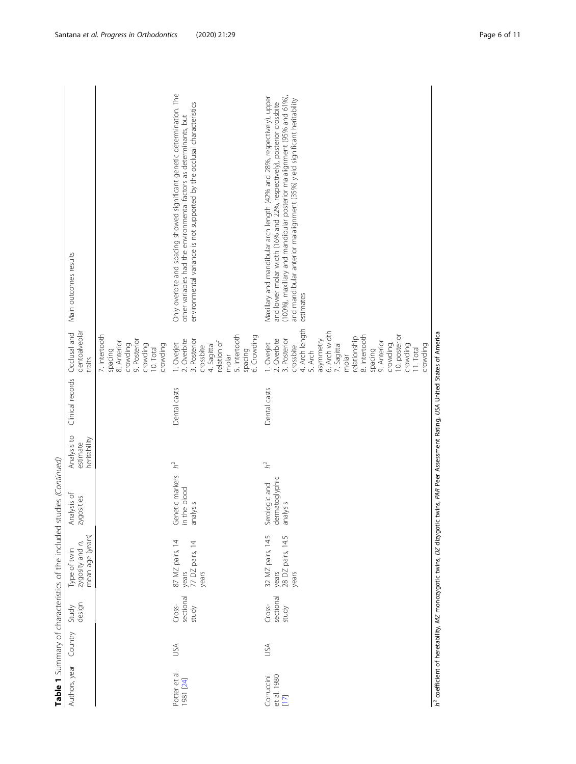|                                     |         |                              | CONSULTING CONSULTANT DURING CONSULTANT CONSULTANT CONSULTANT DURING CONSULTANT DURING |                                             |                                         |                                                                 |                                                                                                                                                                                                                                                                        |                                                                                                                                                                                                                                                                                                                       |  |
|-------------------------------------|---------|------------------------------|----------------------------------------------------------------------------------------|---------------------------------------------|-----------------------------------------|-----------------------------------------------------------------|------------------------------------------------------------------------------------------------------------------------------------------------------------------------------------------------------------------------------------------------------------------------|-----------------------------------------------------------------------------------------------------------------------------------------------------------------------------------------------------------------------------------------------------------------------------------------------------------------------|--|
| Authors, year                       | Country | Study<br>design              | mean age (years)<br>zygosity and n,<br>Type of twin                                    | Analysis of<br>zygosities                   | Analysis to<br>heritability<br>estimate | Clinical records                                                | dentoalveolar<br>Occlusal and<br>traits                                                                                                                                                                                                                                | Main outcomes results                                                                                                                                                                                                                                                                                                 |  |
|                                     |         |                              |                                                                                        |                                             |                                         |                                                                 | 7. Intertooth<br>9. Posterior<br>8. Anterior<br>crowding<br>crowding<br>crowding<br>10. Total<br>spacing                                                                                                                                                               |                                                                                                                                                                                                                                                                                                                       |  |
| Potter et al.<br>1981 [24]          | JSA     | sectional<br>Cross-<br>study | 87 MZ pairs, 14<br>years<br>77 DZ pairs, 14<br>years                                   | Genetic markers<br>in the blood<br>analysis | $\vec{h}^2$                             | Dental casts                                                    | 5. Intertooth<br>6. Crowding<br>2. Overbite<br>3. Posterior<br>relation of<br>I. Overjet<br>4. Sagittal<br>crossbite<br>spacing<br>molar                                                                                                                               | Only overbite and spacing showed significant genetic determination. The<br>environmental variance is not supported by the occlusal characteristics<br>other variables had the environmental factors as determinants, but                                                                                              |  |
| et al. 1980<br>Corruccini<br>$[17]$ | USA     | sectional<br>Cross-<br>study | 32 MZ pairs, 14.5<br>28 DZ pairs, 14.5<br>years<br>years                               | dermatoglyphic<br>Serologic and<br>analysis | $h^2$                                   | Dental casts                                                    | 4. Arch length<br>6. Arch width<br>8. Intertooth<br>10. posterior<br>relationship<br>2. Overbite<br>3. Posterior<br>asymmetry<br>9. Anterior<br>. Overjet<br>7. Sagittal<br>crowding,<br>crowding<br>crowding<br>crossbite<br>11. Total<br>spacing<br>5. Arch<br>molar | (100%), maxillary and mandibular posterior malalignment (95% and 61%),<br>Maxillary and mandibular arch length (42% and 28%, respectively), upper<br>and mandibular anterior malalignment (35%) yield significant heritability<br>and lower molar width (16% and 22%, respectively), posterior crossbite<br>estimates |  |
|                                     |         |                              | h <sup>2</sup> coefficient of heretability, MZ monozygotic twins, DZ dizygotic         |                                             |                                         | twins, PAR Peer Assessment Rating, USA United States of America |                                                                                                                                                                                                                                                                        |                                                                                                                                                                                                                                                                                                                       |  |
|                                     |         |                              |                                                                                        |                                             |                                         |                                                                 |                                                                                                                                                                                                                                                                        |                                                                                                                                                                                                                                                                                                                       |  |

Table 1 Summary of characteristics of the included studies (Continued) **Table 1** Summary of characteristics of the included studies (Continued)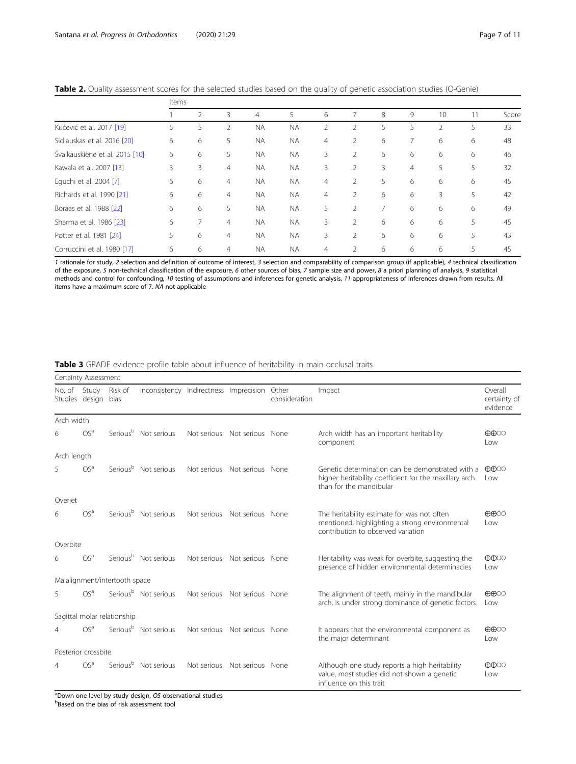|                                | Items |               |                |                |           |   |                |   |                |    |    |       |
|--------------------------------|-------|---------------|----------------|----------------|-----------|---|----------------|---|----------------|----|----|-------|
|                                |       | $\mathcal{P}$ | 3              | $\overline{4}$ | 5         | 6 | 7              | 8 | 9              | 10 | 11 | Score |
| Kučević et al. 2017 [19]       | 5     | 5             |                | <b>NA</b>      | <b>NA</b> | 2 | 2              | 5 | 5              | V  | 5  | 33    |
| Sidlauskas et al. 2016 [20]    | 6     | 6             | 5              | <b>NA</b>      | <b>NA</b> | 4 | 2              | 6 | 7              | 6  | 6  | 48    |
| Švalkauskienė et al. 2015 [10] | 6     | 6             | 5              | <b>NA</b>      | <b>NA</b> | 3 | $\overline{2}$ | 6 | 6              | 6  | 6  | 46    |
| Kawala et al. 2007 [13]        | 3     | 3             | 4              | <b>NA</b>      | <b>NA</b> | 3 | $\overline{2}$ | 3 | $\overline{4}$ | 5  | 5  | 32    |
| Equchi et al. 2004 [7]         | 6     | 6             | $\overline{4}$ | <b>NA</b>      | <b>NA</b> | 4 | $\overline{2}$ | 5 | 6              | 6  | 6  | 45    |
| Richards et al. 1990 [21]      | 6     | 6             | $\overline{4}$ | <b>NA</b>      | <b>NA</b> | 4 | $\overline{2}$ | 6 | 6              | 3  | 5  | 42    |
| Boraas et al. 1988 [22]        | 6     | 6             | 5              | <b>NA</b>      | <b>NA</b> | 5 | $\overline{2}$ |   | 6              | 6  | 6  | 49    |
| Sharma et al. 1986 [23]        | 6     |               | $\overline{4}$ | <b>NA</b>      | <b>NA</b> | 3 | $\overline{2}$ | 6 | 6              | 6  | 5  | 45    |
| Potter et al. 1981 [24]        | 5     | 6             | 4              | <b>NA</b>      | <b>NA</b> | 3 | $\overline{2}$ | 6 | 6              | 6  | 5  | 43    |
| Corruccini et al. 1980 [17]    | 6     | 6             | $\overline{4}$ | <b>NA</b>      | <b>NA</b> | 4 | 2              | 6 | 6              | 6  | 5  | 45    |

<span id="page-6-0"></span>

|  | Table 2. Quality assessment scores for the selected studies based on the quality of genetic association studies (Q-Genie) |  |  |  |  |  |  |
|--|---------------------------------------------------------------------------------------------------------------------------|--|--|--|--|--|--|
|--|---------------------------------------------------------------------------------------------------------------------------|--|--|--|--|--|--|

1 rationale for study, 2 selection and definition of outcome of interest, 3 selection and comparability of comparison group (if applicable), 4 technical classification of the exposure, 5 non-technical classification of the exposure, 6 other sources of bias, 7 sample size and power, 8 a priori planning of analysis, 9 statistical methods and control for confounding, 10 testing of assumptions and inferences for genetic analysis, 11 appropriateness of inferences drawn from results. All items have a maximum score of 7. NA not applicable

Table 3 GRADE evidence profile table about influence of heritability in main occlusal traits

|             | Certainty Assessment    |                               |                                              |             |                              |               |                                                                                                                                       |                                     |
|-------------|-------------------------|-------------------------------|----------------------------------------------|-------------|------------------------------|---------------|---------------------------------------------------------------------------------------------------------------------------------------|-------------------------------------|
| No. of      | Study<br>Studies design | Risk of<br>bias               | Inconsistency Indirectness Imprecision Other |             |                              | consideration | Impact                                                                                                                                | Overall<br>certainty of<br>evidence |
| Arch width  |                         |                               |                                              |             |                              |               |                                                                                                                                       |                                     |
| 6           | OS <sup>a</sup>         |                               | Serious <sup>b</sup> Not serious             | Not serious | Not serious None             |               | Arch width has an important heritability<br>component                                                                                 | $\oplus \oplus \odot \odot$<br>Low  |
| Arch length |                         |                               |                                              |             |                              |               |                                                                                                                                       |                                     |
| 5           | OS <sup>a</sup>         |                               | Serious <sup>b</sup> Not serious             | Not serious | Not serious None             |               | Genetic determination can be demonstrated with a<br>higher heritability coefficient for the maxillary arch<br>than for the mandibular | $\oplus \oplus \odot \odot$<br>Low  |
| Overjet     |                         |                               |                                              |             |                              |               |                                                                                                                                       |                                     |
| 6           | OS <sup>a</sup>         |                               | Serious <sup>b</sup> Not serious             | Not serious | Not serious None             |               | The heritability estimate for was not often<br>mentioned, highlighting a strong environmental<br>contribution to observed variation   | $\oplus \oplus \odot \odot$<br>Low  |
| Overbite    |                         |                               |                                              |             |                              |               |                                                                                                                                       |                                     |
| 6           | OS <sup>a</sup>         |                               | Serious <sup>b</sup> Not serious             | Not serious | Not serious None             |               | Heritability was weak for overbite, suggesting the<br>presence of hidden environmental determinacies                                  | $\oplus \oplus \odot \odot$<br>Low  |
|             |                         | Malalignment/intertooth space |                                              |             |                              |               |                                                                                                                                       |                                     |
| 5           | OS <sup>a</sup>         |                               | Serious <sup>b</sup> Not serious             | Not serious | Not serious None             |               | The alignment of teeth, mainly in the mandibular<br>arch, is under strong dominance of genetic factors                                | $\oplus \oplus \odot \odot$<br>Low  |
|             |                         | Sagittal molar relationship   |                                              |             |                              |               |                                                                                                                                       |                                     |
| 4           | OS <sup>a</sup>         |                               | Serious <sup>b</sup> Not serious             |             | Not serious Not serious None |               | It appears that the environmental component as<br>the major determinant                                                               | $\oplus \oplus \odot \odot$<br>Low  |
|             | Posterior crossbite     |                               |                                              |             |                              |               |                                                                                                                                       |                                     |
| 4           | OS <sup>a</sup>         |                               | Serious <sup>b</sup> Not serious             | Not serious | Not serious None             |               | Although one study reports a high heritability<br>value, most studies did not shown a genetic<br>influence on this trait              | $\oplus \oplus \odot \odot$<br>Low  |

<sup>a</sup>Down one level by study design, OS observational studies<br><sup>b</sup>Based on the bias of risk assessment tool Based on the bias of risk assessment tool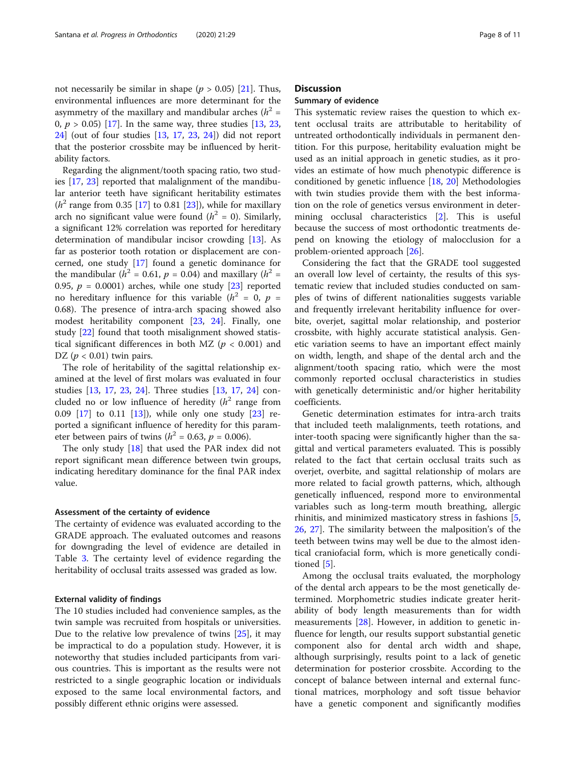not necessarily be similar in shape ( $p > 0.05$ ) [[21\]](#page-10-0). Thus, environmental influences are more determinant for the asymmetry of the maxillary and mandibular arches ( $h^2$  = 0,  $p > 0.05$  [\[17](#page-10-0)]. In the same way, three studies [\[13,](#page-10-0) [23](#page-10-0), [24\]](#page-10-0) (out of four studies [[13,](#page-10-0) [17](#page-10-0), [23](#page-10-0), [24](#page-10-0)]) did not report that the posterior crossbite may be influenced by heritability factors.

Regarding the alignment/tooth spacing ratio, two studies [\[17,](#page-10-0) [23](#page-10-0)] reported that malalignment of the mandibular anterior teeth have significant heritability estimates  $(h<sup>2</sup>$  range from 0.35 [[17\]](#page-10-0) to 0.81 [[23\]](#page-10-0)), while for maxillary arch no significant value were found  $(h^2 = 0)$ . Similarly, a significant 12% correlation was reported for hereditary determination of mandibular incisor crowding [\[13](#page-10-0)]. As far as posterior tooth rotation or displacement are concerned, one study [\[17](#page-10-0)] found a genetic dominance for the mandibular ( $h^2$  = 0.61,  $p$  = 0.04) and maxillary ( $h^2$  = 0.95,  $p = 0.0001$ ) arches, while one study [[23](#page-10-0)] reported no hereditary influence for this variable  $(h^2 = 0, p =$ 0.68). The presence of intra-arch spacing showed also modest heritability component [[23,](#page-10-0) [24](#page-10-0)]. Finally, one study [\[22\]](#page-10-0) found that tooth misalignment showed statistical significant differences in both MZ ( $p < 0.001$ ) and DZ ( $p < 0.01$ ) twin pairs.

The role of heritability of the sagittal relationship examined at the level of first molars was evaluated in four studies [\[13,](#page-10-0) [17,](#page-10-0) [23,](#page-10-0) [24\]](#page-10-0). Three studies [\[13,](#page-10-0) [17,](#page-10-0) [24\]](#page-10-0) concluded no or low influence of heredity  $(h^2)$  range from 0.09 [[17\]](#page-10-0) to 0.11 [\[13](#page-10-0)]), while only one study [[23\]](#page-10-0) reported a significant influence of heredity for this parameter between pairs of twins ( $h^2 = 0.63$ ,  $p = 0.006$ ).

The only study [\[18\]](#page-10-0) that used the PAR index did not report significant mean difference between twin groups, indicating hereditary dominance for the final PAR index value.

#### Assessment of the certainty of evidence

The certainty of evidence was evaluated according to the GRADE approach. The evaluated outcomes and reasons for downgrading the level of evidence are detailed in Table [3](#page-6-0). The certainty level of evidence regarding the heritability of occlusal traits assessed was graded as low.

#### External validity of findings

The 10 studies included had convenience samples, as the twin sample was recruited from hospitals or universities. Due to the relative low prevalence of twins [\[25](#page-10-0)], it may be impractical to do a population study. However, it is noteworthy that studies included participants from various countries. This is important as the results were not restricted to a single geographic location or individuals exposed to the same local environmental factors, and possibly different ethnic origins were assessed.

#### **Discussion**

#### Summary of evidence

This systematic review raises the question to which extent occlusal traits are attributable to heritability of untreated orthodontically individuals in permanent dentition. For this purpose, heritability evaluation might be used as an initial approach in genetic studies, as it provides an estimate of how much phenotypic difference is conditioned by genetic influence [\[18,](#page-10-0) [20](#page-10-0)] Methodologies with twin studies provide them with the best information on the role of genetics versus environment in determining occlusal characteristics [\[2](#page-9-0)]. This is useful because the success of most orthodontic treatments depend on knowing the etiology of malocclusion for a problem-oriented approach [\[26](#page-10-0)].

Considering the fact that the GRADE tool suggested an overall low level of certainty, the results of this systematic review that included studies conducted on samples of twins of different nationalities suggests variable and frequently irrelevant heritability influence for overbite, overjet, sagittal molar relationship, and posterior crossbite, with highly accurate statistical analysis. Genetic variation seems to have an important effect mainly on width, length, and shape of the dental arch and the alignment/tooth spacing ratio, which were the most commonly reported occlusal characteristics in studies with genetically deterministic and/or higher heritability coefficients.

Genetic determination estimates for intra-arch traits that included teeth malalignments, teeth rotations, and inter-tooth spacing were significantly higher than the sagittal and vertical parameters evaluated. This is possibly related to the fact that certain occlusal traits such as overjet, overbite, and sagittal relationship of molars are more related to facial growth patterns, which, although genetically influenced, respond more to environmental variables such as long-term mouth breathing, allergic rhinitis, and minimized masticatory stress in fashions [\[5](#page-9-0), [26,](#page-10-0) [27](#page-10-0)]. The similarity between the malposition's of the teeth between twins may well be due to the almost identical craniofacial form, which is more genetically conditioned [[5\]](#page-9-0).

Among the occlusal traits evaluated, the morphology of the dental arch appears to be the most genetically determined. Morphometric studies indicate greater heritability of body length measurements than for width measurements [[28\]](#page-10-0). However, in addition to genetic influence for length, our results support substantial genetic component also for dental arch width and shape, although surprisingly, results point to a lack of genetic determination for posterior crossbite. According to the concept of balance between internal and external functional matrices, morphology and soft tissue behavior have a genetic component and significantly modifies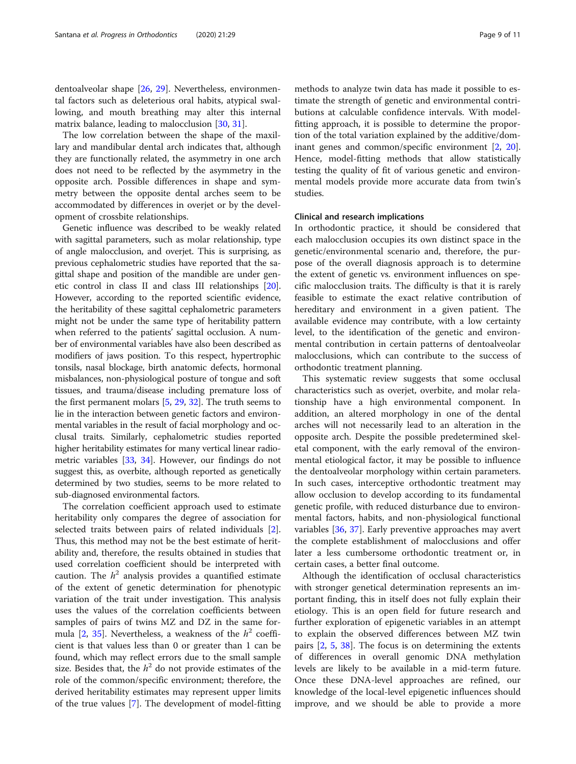dentoalveolar shape [\[26](#page-10-0), [29\]](#page-10-0). Nevertheless, environmental factors such as deleterious oral habits, atypical swallowing, and mouth breathing may alter this internal matrix balance, leading to malocclusion [[30](#page-10-0), [31](#page-10-0)].

The low correlation between the shape of the maxillary and mandibular dental arch indicates that, although they are functionally related, the asymmetry in one arch does not need to be reflected by the asymmetry in the opposite arch. Possible differences in shape and symmetry between the opposite dental arches seem to be accommodated by differences in overjet or by the development of crossbite relationships.

Genetic influence was described to be weakly related with sagittal parameters, such as molar relationship, type of angle malocclusion, and overjet. This is surprising, as previous cephalometric studies have reported that the sagittal shape and position of the mandible are under genetic control in class II and class III relationships [[20](#page-10-0)]. However, according to the reported scientific evidence, the heritability of these sagittal cephalometric parameters might not be under the same type of heritability pattern when referred to the patients' sagittal occlusion. A number of environmental variables have also been described as modifiers of jaws position. To this respect, hypertrophic tonsils, nasal blockage, birth anatomic defects, hormonal misbalances, non-physiological posture of tongue and soft tissues, and trauma/disease including premature loss of the first permanent molars [[5](#page-9-0), [29](#page-10-0), [32\]](#page-10-0). The truth seems to lie in the interaction between genetic factors and environmental variables in the result of facial morphology and occlusal traits. Similarly, cephalometric studies reported higher heritability estimates for many vertical linear radiometric variables [\[33](#page-10-0), [34](#page-10-0)]. However, our findings do not suggest this, as overbite, although reported as genetically determined by two studies, seems to be more related to sub-diagnosed environmental factors.

The correlation coefficient approach used to estimate heritability only compares the degree of association for selected traits between pairs of related individuals [\[2](#page-9-0)]. Thus, this method may not be the best estimate of heritability and, therefore, the results obtained in studies that used correlation coefficient should be interpreted with caution. The  $h^2$  analysis provides a quantified estimate of the extent of genetic determination for phenotypic variation of the trait under investigation. This analysis uses the values of the correlation coefficients between samples of pairs of twins MZ and DZ in the same for-mula [\[2](#page-9-0), [35](#page-10-0)]. Nevertheless, a weakness of the  $h^2$  coefficient is that values less than 0 or greater than 1 can be found, which may reflect errors due to the small sample size. Besides that, the  $h^2$  do not provide estimates of the role of the common/specific environment; therefore, the derived heritability estimates may represent upper limits of the true values [\[7](#page-10-0)]. The development of model-fitting

methods to analyze twin data has made it possible to estimate the strength of genetic and environmental contributions at calculable confidence intervals. With modelfitting approach, it is possible to determine the proportion of the total variation explained by the additive/dominant genes and common/specific environment [[2,](#page-9-0) [20](#page-10-0)]. Hence, model-fitting methods that allow statistically testing the quality of fit of various genetic and environmental models provide more accurate data from twin's studies.

#### Clinical and research implications

In orthodontic practice, it should be considered that each malocclusion occupies its own distinct space in the genetic/environmental scenario and, therefore, the purpose of the overall diagnosis approach is to determine the extent of genetic vs. environment influences on specific malocclusion traits. The difficulty is that it is rarely feasible to estimate the exact relative contribution of hereditary and environment in a given patient. The available evidence may contribute, with a low certainty level, to the identification of the genetic and environmental contribution in certain patterns of dentoalveolar malocclusions, which can contribute to the success of orthodontic treatment planning.

This systematic review suggests that some occlusal characteristics such as overjet, overbite, and molar relationship have a high environmental component. In addition, an altered morphology in one of the dental arches will not necessarily lead to an alteration in the opposite arch. Despite the possible predetermined skeletal component, with the early removal of the environmental etiological factor, it may be possible to influence the dentoalveolar morphology within certain parameters. In such cases, interceptive orthodontic treatment may allow occlusion to develop according to its fundamental genetic profile, with reduced disturbance due to environmental factors, habits, and non-physiological functional variables [\[36](#page-10-0), [37](#page-10-0)]. Early preventive approaches may avert the complete establishment of malocclusions and offer later a less cumbersome orthodontic treatment or, in certain cases, a better final outcome.

Although the identification of occlusal characteristics with stronger genetical determination represents an important finding, this in itself does not fully explain their etiology. This is an open field for future research and further exploration of epigenetic variables in an attempt to explain the observed differences between MZ twin pairs [\[2,](#page-9-0) [5,](#page-9-0) [38](#page-10-0)]. The focus is on determining the extents of differences in overall genomic DNA methylation levels are likely to be available in a mid-term future. Once these DNA-level approaches are refined, our knowledge of the local-level epigenetic influences should improve, and we should be able to provide a more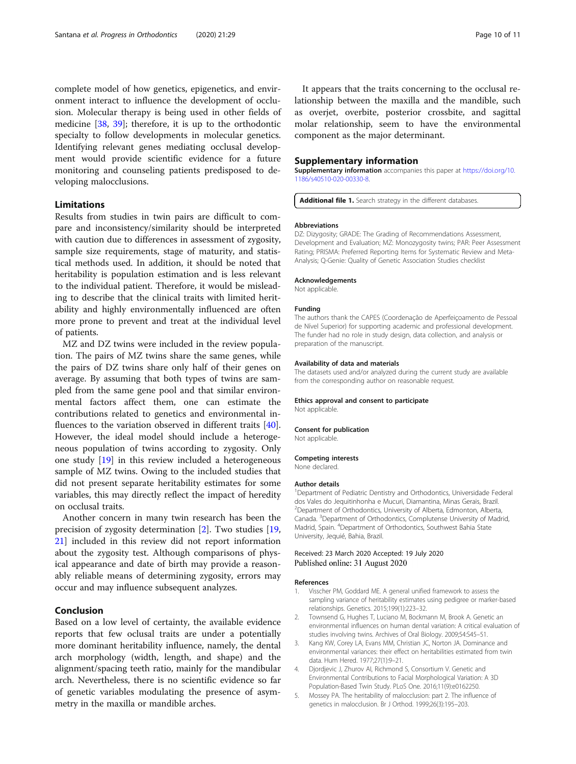<span id="page-9-0"></span>complete model of how genetics, epigenetics, and environment interact to influence the development of occlusion. Molecular therapy is being used in other fields of medicine [[38,](#page-10-0) [39\]](#page-10-0); therefore, it is up to the orthodontic specialty to follow developments in molecular genetics. Identifying relevant genes mediating occlusal development would provide scientific evidence for a future monitoring and counseling patients predisposed to developing malocclusions.

## Limitations

Results from studies in twin pairs are difficult to compare and inconsistency/similarity should be interpreted with caution due to differences in assessment of zygosity, sample size requirements, stage of maturity, and statistical methods used. In addition, it should be noted that heritability is population estimation and is less relevant to the individual patient. Therefore, it would be misleading to describe that the clinical traits with limited heritability and highly environmentally influenced are often more prone to prevent and treat at the individual level of patients.

MZ and DZ twins were included in the review population. The pairs of MZ twins share the same genes, while the pairs of DZ twins share only half of their genes on average. By assuming that both types of twins are sampled from the same gene pool and that similar environmental factors affect them, one can estimate the contributions related to genetics and environmental influences to the variation observed in different traits [\[40](#page-10-0)]. However, the ideal model should include a heterogeneous population of twins according to zygosity. Only one study [[19\]](#page-10-0) in this review included a heterogeneous sample of MZ twins. Owing to the included studies that did not present separate heritability estimates for some variables, this may directly reflect the impact of heredity on occlusal traits.

Another concern in many twin research has been the precision of zygosity determination [2]. Two studies [[19](#page-10-0), [21\]](#page-10-0) included in this review did not report information about the zygosity test. Although comparisons of physical appearance and date of birth may provide a reasonably reliable means of determining zygosity, errors may occur and may influence subsequent analyzes.

#### Conclusion

Based on a low level of certainty, the available evidence reports that few oclusal traits are under a potentially more dominant heritability influence, namely, the dental arch morphology (width, length, and shape) and the alignment/spacing teeth ratio, mainly for the mandibular arch. Nevertheless, there is no scientific evidence so far of genetic variables modulating the presence of asymmetry in the maxilla or mandible arches.

It appears that the traits concerning to the occlusal relationship between the maxilla and the mandible, such as overjet, overbite, posterior crossbite, and sagittal molar relationship, seem to have the environmental component as the major determinant.

#### Supplementary information

Supplementary information accompanies this paper at [https://doi.org/10.](https://doi.org/10.1186/s40510-020-00330-8) [1186/s40510-020-00330-8](https://doi.org/10.1186/s40510-020-00330-8).

Additional file 1. Search strategy in the different databases

#### Abbreviations

DZ: Dizygosity; GRADE: The Grading of Recommendations Assessment, Development and Evaluation; MZ: Monozygosity twins; PAR: Peer Assessment Rating; PRISMA: Preferred Reporting Items for Systematic Review and Meta-Analysis; Q-Genie: Quality of Genetic Association Studies checklist

#### Acknowledgements

Not applicable

#### Funding

The authors thank the CAPES (Coordenação de Aperfeiçoamento de Pessoal de Nível Superior) for supporting academic and professional development. The funder had no role in study design, data collection, and analysis or preparation of the manuscript.

#### Availability of data and materials

The datasets used and/or analyzed during the current study are available from the corresponding author on reasonable request.

#### Ethics approval and consent to participate

Not applicable.

#### Consent for publication

Not applicable.

#### Competing interests

None declared.

#### Author details

<sup>1</sup>Department of Pediatric Dentistry and Orthodontics, Universidade Federal dos Vales do Jequitinhonha e Mucuri, Diamantina, Minas Gerais, Brazil. <sup>2</sup> Department of Orthodontics, University of Alberta, Edmonton, Alberta, Canada. <sup>3</sup> Department of Orthodontics, Complutense University of Madrid, Madrid, Spain. <sup>4</sup> Department of Orthodontics, Southwest Bahia State University, Jequié, Bahia, Brazil.

#### Received: 23 March 2020 Accepted: 19 July 2020 Published online: 31 August 2020

#### References

- 1. Visscher PM, Goddard ME. A general unified framework to assess the sampling variance of heritability estimates using pedigree or marker-based relationships. Genetics. 2015;199(1):223–32.
- 2. Townsend G, Hughes T, Luciano M, Bockmann M, Brook A. Genetic an environmental influences on human dental variation: A critical evaluation of studies involving twins. Archives of Oral Biology. 2009;54:S45–51.
- 3. Kang KW, Corey LA, Evans MM, Christian JC, Norton JA. Dominance and environmental variances: their effect on heritabilities estimated from twin data. Hum Hered. 1977;27(1):9–21.
- 4. Djordjevic J, Zhurov AI, Richmond S, Consortium V. Genetic and Environmental Contributions to Facial Morphological Variation: A 3D Population-Based Twin Study. PLoS One. 2016;11(9):e0162250.
- 5. Mossey PA. The heritability of malocclusion: part 2. The influence of genetics in malocclusion. Br J Orthod. 1999;26(3):195–203.